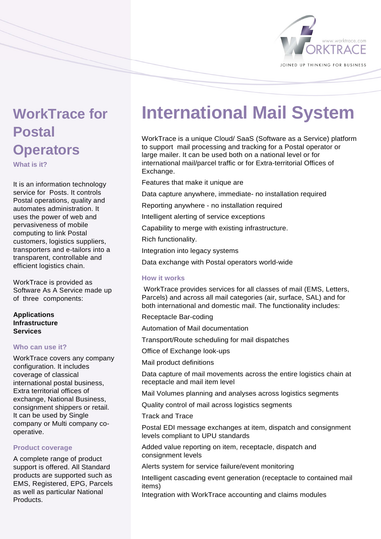

# **WorkTrace for Postal Operators**

**What is it?** 

It is an information technology service for Posts. It controls Postal operations, quality and automates administration. It uses the power of web and pervasiveness of mobile computing to link Postal customers, logistics suppliers, transporters and e-tailors into a transparent, controllable and efficient logistics chain.

WorkTrace is provided as Software As A Service made up of three components:

**Applications Infrastructure Services** 

### **Who can use it?**

WorkTrace covers any company configuration. It includes coverage of classical international postal business, Extra territorial offices of exchange, National Business, consignment shippers or retail. It can be used by Single company or Multi company cooperative.

### **Product coverage**

A complete range of product support is offered. All Standard products are supported such as EMS, Registered, EPG, Parcels as well as particular National Products.

# **International Mail System**

WorkTrace is a unique Cloud/ SaaS (Software as a Service) platform to support mail processing and tracking for a Postal operator or large mailer. It can be used both on a national level or for international mail/parcel traffic or for Extra-territorial Offices of Exchange.

Features that make it unique are

Data capture anywhere, immediate- no installation required

Reporting anywhere - no installation required

Intelligent alerting of service exceptions

Capability to merge with existing infrastructure.

Rich functionality.

Integration into legacy systems

Data exchange with Postal operators world-wide

# **How it works**

 WorkTrace provides services for all classes of mail (EMS, Letters, Parcels) and across all mail categories (air, surface, SAL) and for both international and domestic mail. The functionality includes:

Receptacle Bar-coding

Automation of Mail documentation

Transport/Route scheduling for mail dispatches

Office of Exchange look-ups

Mail product definitions

Data capture of mail movements across the entire logistics chain at receptacle and mail item level

Mail Volumes planning and analyses across logistics segments

Quality control of mail across logistics segments

Track and Trace

Postal EDI message exchanges at item, dispatch and consignment levels compliant to UPU standards

Added value reporting on item, receptacle, dispatch and consignment levels

Alerts system for service failure/event monitoring

Intelligent cascading event generation (receptacle to contained mail items)

Integration with WorkTrace accounting and claims modules